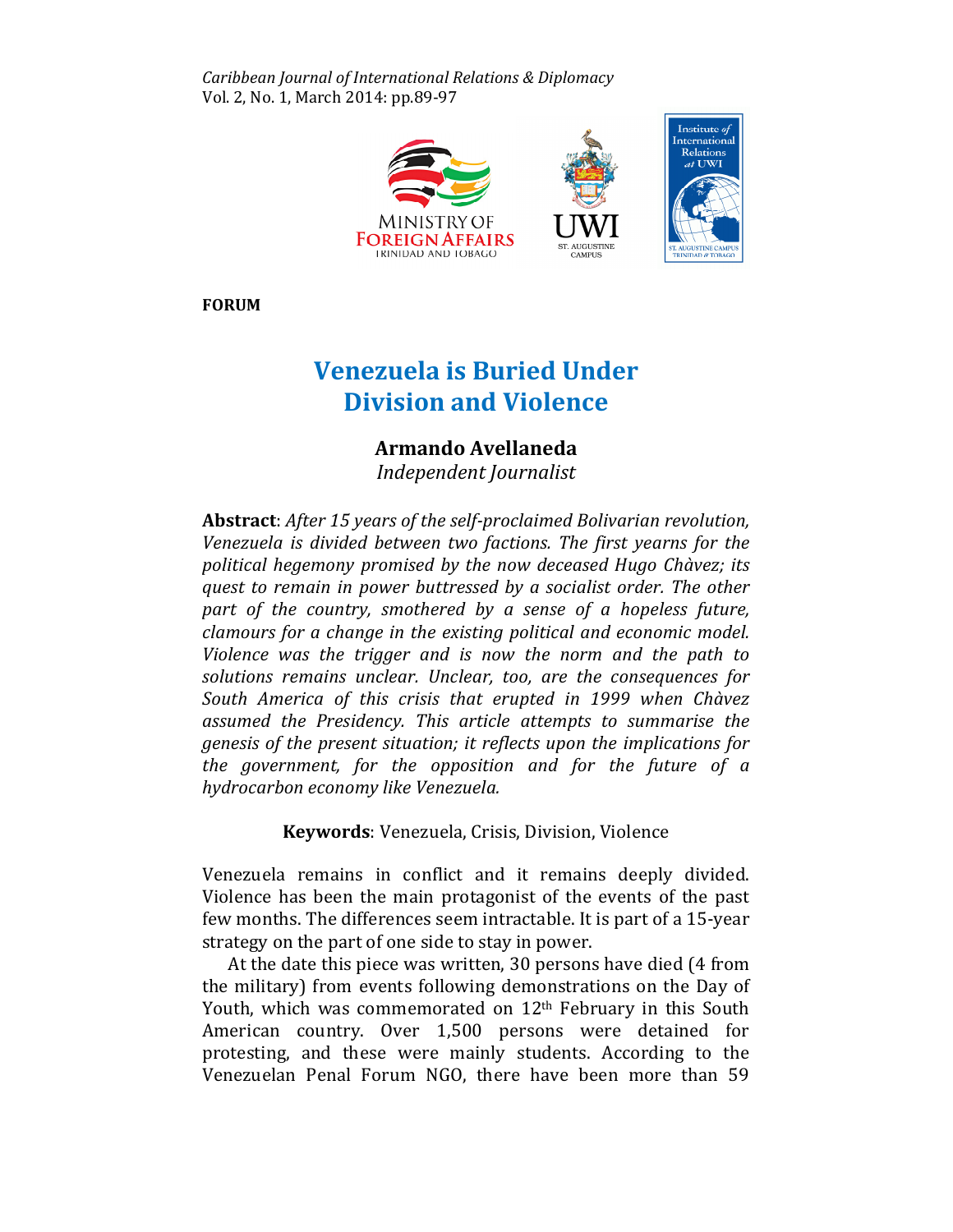Caribbean Journal of International Relations & Diplomacy Vol. 2, No. 1, March 2014: pp.89-97



FORUM

# Venezuela is Buried Under Division and Violence

# Armando Avellaneda

Independent Journalist

Abstract: After 15 years of the self-proclaimed Bolivarian revolution, Venezuela is divided between two factions. The first yearns for the political hegemony promised by the now deceased Hugo Chàvez; its quest to remain in power buttressed by a socialist order. The other part of the country, smothered by a sense of a hopeless future, clamours for a change in the existing political and economic model. Violence was the trigger and is now the norm and the path to solutions remains unclear. Unclear, too, are the consequences for South America of this crisis that erupted in 1999 when Chàvez assumed the Presidency. This article attempts to summarise the genesis of the present situation; it reflects upon the implications for the government, for the opposition and for the future of a hydrocarbon economy like Venezuela.

# Keywords: Venezuela, Crisis, Division, Violence

Venezuela remains in conflict and it remains deeply divided. Violence has been the main protagonist of the events of the past few months. The differences seem intractable. It is part of a 15-year strategy on the part of one side to stay in power.

At the date this piece was written, 30 persons have died (4 from the military) from events following demonstrations on the Day of Youth, which was commemorated on 12<sup>th</sup> February in this South American country. Over 1,500 persons were detained for protesting, and these were mainly students. According to the Venezuelan Penal Forum NGO, there have been more than 59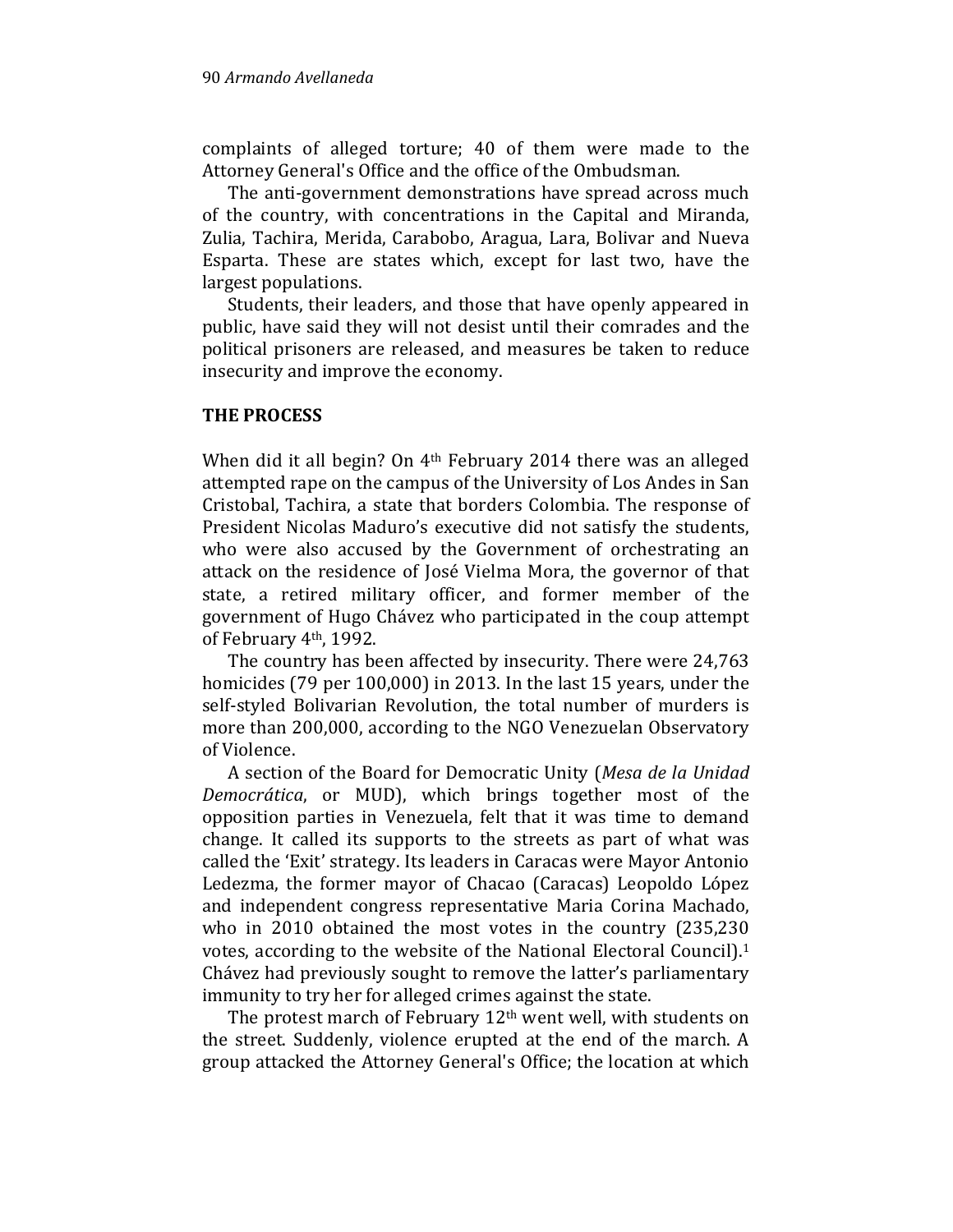complaints of alleged torture; 40 of them were made to the Attorney General's Office and the office of the Ombudsman.

The anti-government demonstrations have spread across much of the country, with concentrations in the Capital and Miranda, Zulia, Tachira, Merida, Carabobo, Aragua, Lara, Bolivar and Nueva Esparta. These are states which, except for last two, have the largest populations.

Students, their leaders, and those that have openly appeared in public, have said they will not desist until their comrades and the political prisoners are released, and measures be taken to reduce insecurity and improve the economy.

# THE PROCESS

When did it all begin? On 4th February 2014 there was an alleged attempted rape on the campus of the University of Los Andes in San Cristobal, Tachira, a state that borders Colombia. The response of President Nicolas Maduro's executive did not satisfy the students, who were also accused by the Government of orchestrating an attack on the residence of José Vielma Mora, the governor of that state, a retired military officer, and former member of the government of Hugo Chávez who participated in the coup attempt of February 4th, 1992.

The country has been affected by insecurity. There were 24,763 homicides (79 per 100,000) in 2013. In the last 15 years, under the self-styled Bolivarian Revolution, the total number of murders is more than 200,000, according to the NGO Venezuelan Observatory of Violence.

A section of the Board for Democratic Unity (Mesa de la Unidad Democrática, or MUD), which brings together most of the opposition parties in Venezuela, felt that it was time to demand change. It called its supports to the streets as part of what was called the 'Exit' strategy. Its leaders in Caracas were Mayor Antonio Ledezma, the former mayor of Chacao (Caracas) Leopoldo López and independent congress representative Maria Corina Machado, who in 2010 obtained the most votes in the country (235,230 votes, according to the website of the National Electoral Council).<sup>1</sup> Chávez had previously sought to remove the latter's parliamentary immunity to try her for alleged crimes against the state.

The protest march of February  $12<sup>th</sup>$  went well, with students on the street. Suddenly, violence erupted at the end of the march. A group attacked the Attorney General's Office; the location at which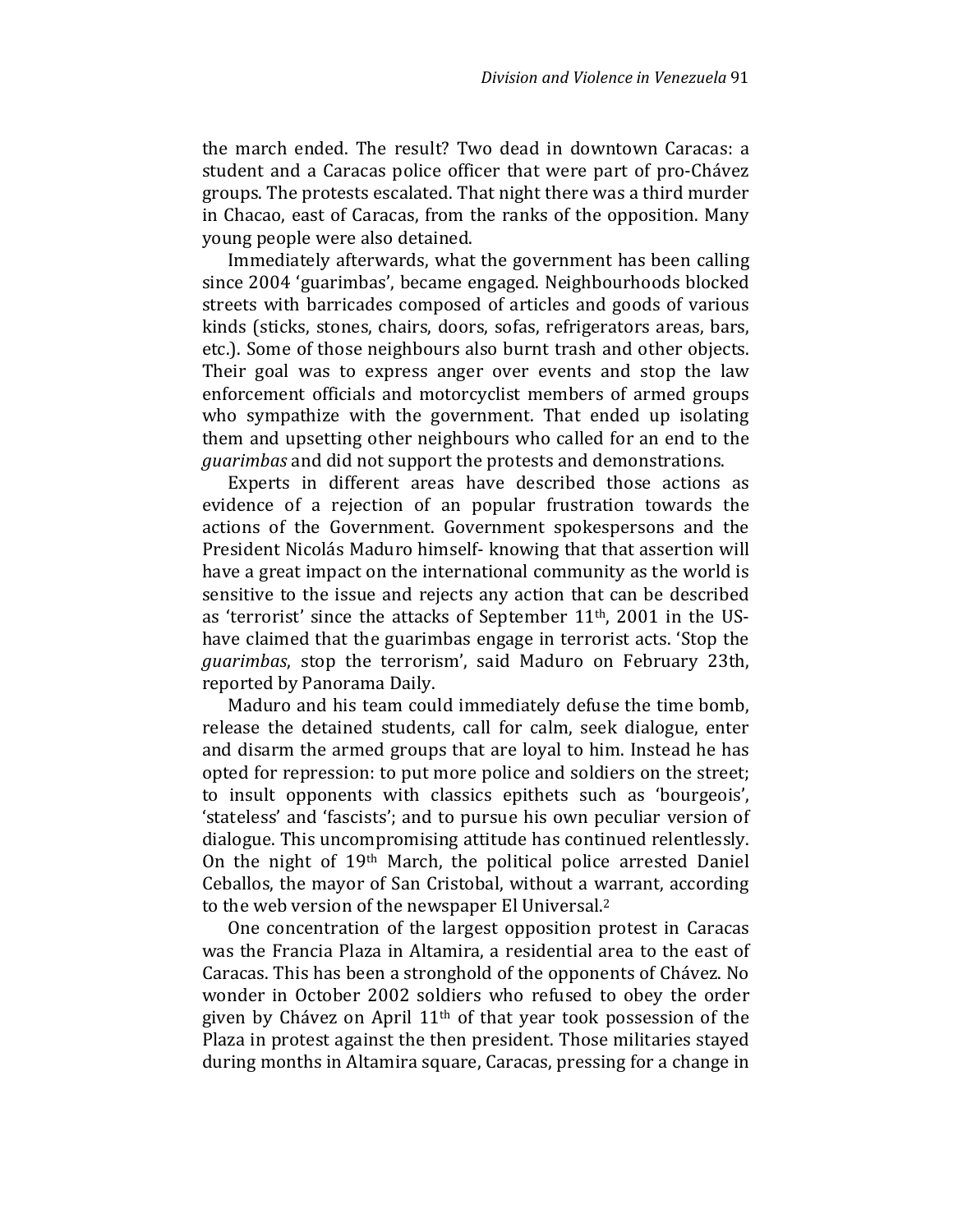the march ended. The result? Two dead in downtown Caracas: a student and a Caracas police officer that were part of pro-Chávez groups. The protests escalated. That night there was a third murder in Chacao, east of Caracas, from the ranks of the opposition. Many young people were also detained.

Immediately afterwards, what the government has been calling since 2004 'guarimbas', became engaged. Neighbourhoods blocked streets with barricades composed of articles and goods of various kinds (sticks, stones, chairs, doors, sofas, refrigerators areas, bars, etc.). Some of those neighbours also burnt trash and other objects. Their goal was to express anger over events and stop the law enforcement officials and motorcyclist members of armed groups who sympathize with the government. That ended up isolating them and upsetting other neighbours who called for an end to the guarimbas and did not support the protests and demonstrations.

Experts in different areas have described those actions as evidence of a rejection of an popular frustration towards the actions of the Government. Government spokespersons and the President Nicolás Maduro himself- knowing that that assertion will have a great impact on the international community as the world is sensitive to the issue and rejects any action that can be described as 'terrorist' since the attacks of September 11th, 2001 in the UShave claimed that the guarimbas engage in terrorist acts. 'Stop the guarimbas, stop the terrorism', said Maduro on February 23th, reported by Panorama Daily.

Maduro and his team could immediately defuse the time bomb, release the detained students, call for calm, seek dialogue, enter and disarm the armed groups that are loyal to him. Instead he has opted for repression: to put more police and soldiers on the street; to insult opponents with classics epithets such as 'bourgeois', 'stateless' and 'fascists'; and to pursue his own peculiar version of dialogue. This uncompromising attitude has continued relentlessly. On the night of 19th March, the political police arrested Daniel Ceballos, the mayor of San Cristobal, without a warrant, according to the web version of the newspaper El Universal.<sup>2</sup>

One concentration of the largest opposition protest in Caracas was the Francia Plaza in Altamira, a residential area to the east of Caracas. This has been a stronghold of the opponents of Chávez. No wonder in October 2002 soldiers who refused to obey the order given by Chávez on April 11th of that year took possession of the Plaza in protest against the then president. Those militaries stayed during months in Altamira square, Caracas, pressing for a change in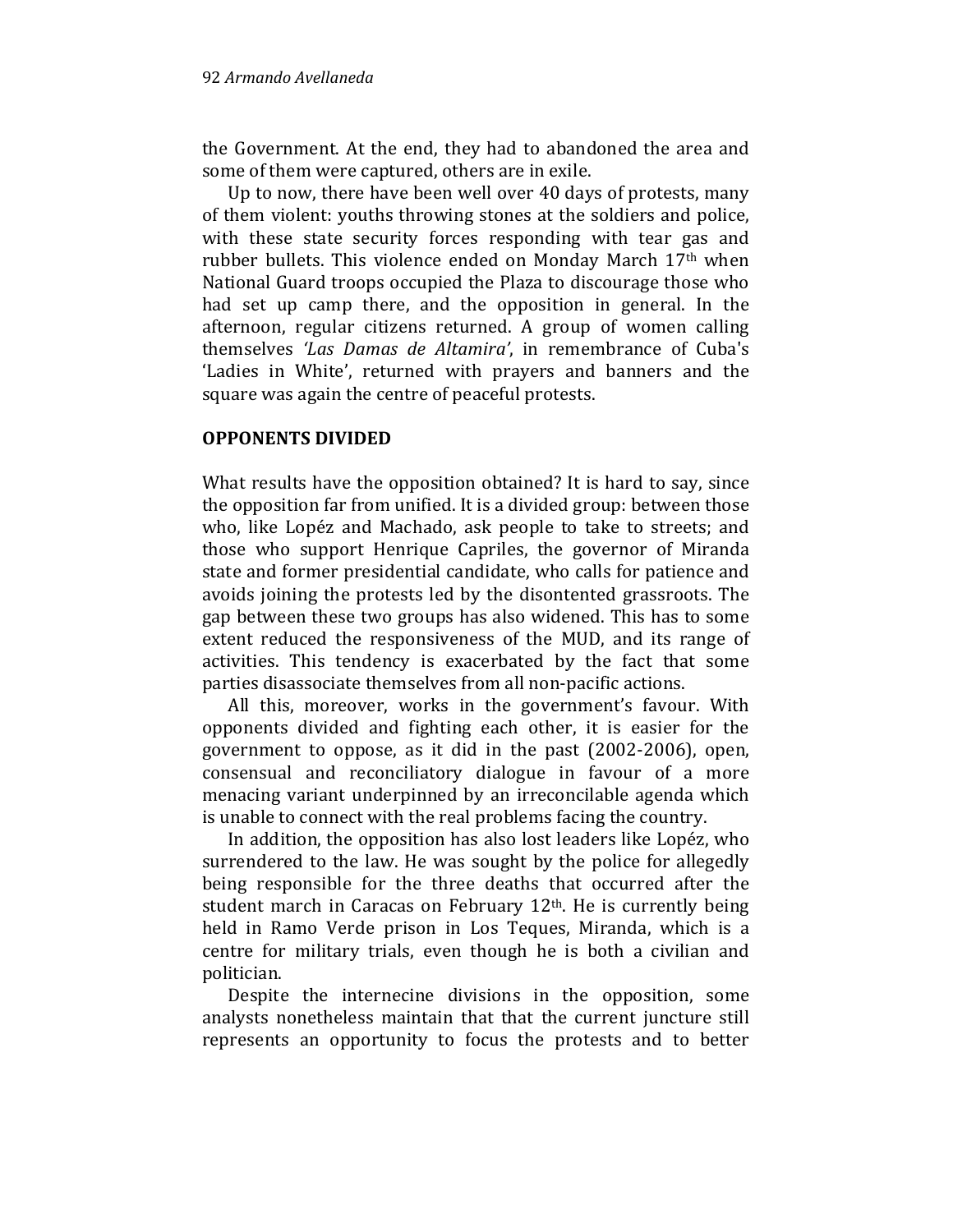the Government. At the end, they had to abandoned the area and some of them were captured, others are in exile.

Up to now, there have been well over 40 days of protests, many of them violent: youths throwing stones at the soldiers and police, with these state security forces responding with tear gas and rubber bullets. This violence ended on Monday March 17th when National Guard troops occupied the Plaza to discourage those who had set up camp there, and the opposition in general. In the afternoon, regular citizens returned. A group of women calling themselves 'Las Damas de Altamira', in remembrance of Cuba's 'Ladies in White', returned with prayers and banners and the square was again the centre of peaceful protests.

# OPPONENTS DIVIDED

What results have the opposition obtained? It is hard to say, since the opposition far from unified. It is a divided group: between those who, like Lopéz and Machado, ask people to take to streets; and those who support Henrique Capriles, the governor of Miranda state and former presidential candidate, who calls for patience and avoids joining the protests led by the disontented grassroots. The gap between these two groups has also widened. This has to some extent reduced the responsiveness of the MUD, and its range of activities. This tendency is exacerbated by the fact that some parties disassociate themselves from all non-pacific actions.

All this, moreover, works in the government's favour. With opponents divided and fighting each other, it is easier for the government to oppose, as it did in the past (2002-2006), open, consensual and reconciliatory dialogue in favour of a more menacing variant underpinned by an irreconcilable agenda which is unable to connect with the real problems facing the country.

In addition, the opposition has also lost leaders like Lopéz, who surrendered to the law. He was sought by the police for allegedly being responsible for the three deaths that occurred after the student march in Caracas on February 12th. He is currently being held in Ramo Verde prison in Los Teques, Miranda, which is a centre for military trials, even though he is both a civilian and politician.

Despite the internecine divisions in the opposition, some analysts nonetheless maintain that that the current juncture still represents an opportunity to focus the protests and to better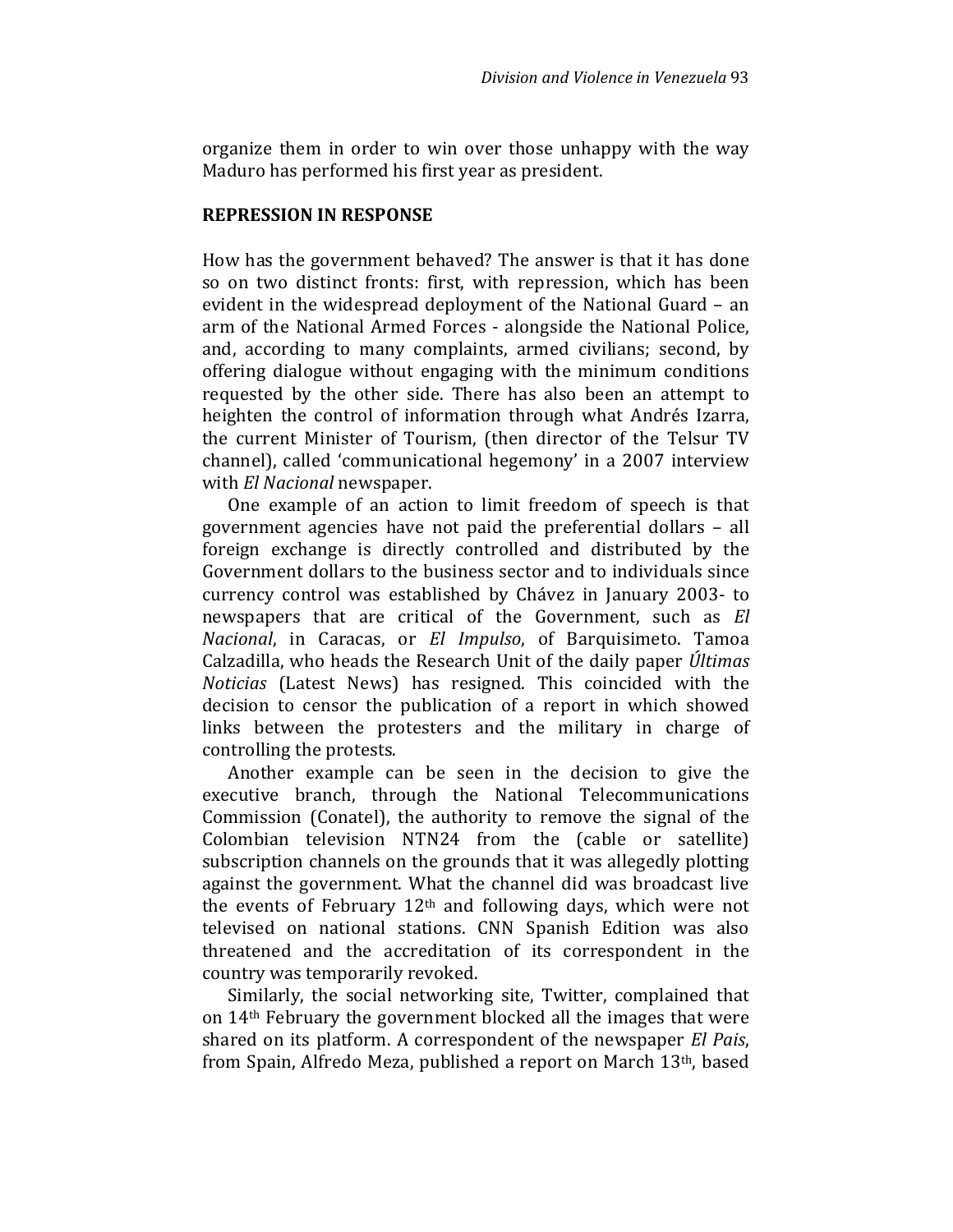organize them in order to win over those unhappy with the way Maduro has performed his first year as president.

#### REPRESSION IN RESPONSE

How has the government behaved? The answer is that it has done so on two distinct fronts: first, with repression, which has been evident in the widespread deployment of the National Guard – an arm of the National Armed Forces - alongside the National Police, and, according to many complaints, armed civilians; second, by offering dialogue without engaging with the minimum conditions requested by the other side. There has also been an attempt to heighten the control of information through what Andrés Izarra, the current Minister of Tourism, (then director of the Telsur TV channel), called 'communicational hegemony' in a 2007 interview with El Nacional newspaper.

One example of an action to limit freedom of speech is that government agencies have not paid the preferential dollars – all foreign exchange is directly controlled and distributed by the Government dollars to the business sector and to individuals since currency control was established by Chávez in January 2003- to newspapers that are critical of the Government, such as El Nacional, in Caracas, or El Impulso, of Barquisimeto. Tamoa Calzadilla, who heads the Research Unit of the daily paper Últimas Noticias (Latest News) has resigned. This coincided with the decision to censor the publication of a report in which showed links between the protesters and the military in charge of controlling the protests.

Another example can be seen in the decision to give the executive branch, through the National Telecommunications Commission (Conatel), the authority to remove the signal of the Colombian television NTN24 from the (cable or satellite) subscription channels on the grounds that it was allegedly plotting against the government. What the channel did was broadcast live the events of February 12th and following days, which were not televised on national stations. CNN Spanish Edition was also threatened and the accreditation of its correspondent in the country was temporarily revoked.

Similarly, the social networking site, Twitter, complained that on 14th February the government blocked all the images that were shared on its platform. A correspondent of the newspaper El Pais, from Spain, Alfredo Meza, published a report on March 13th, based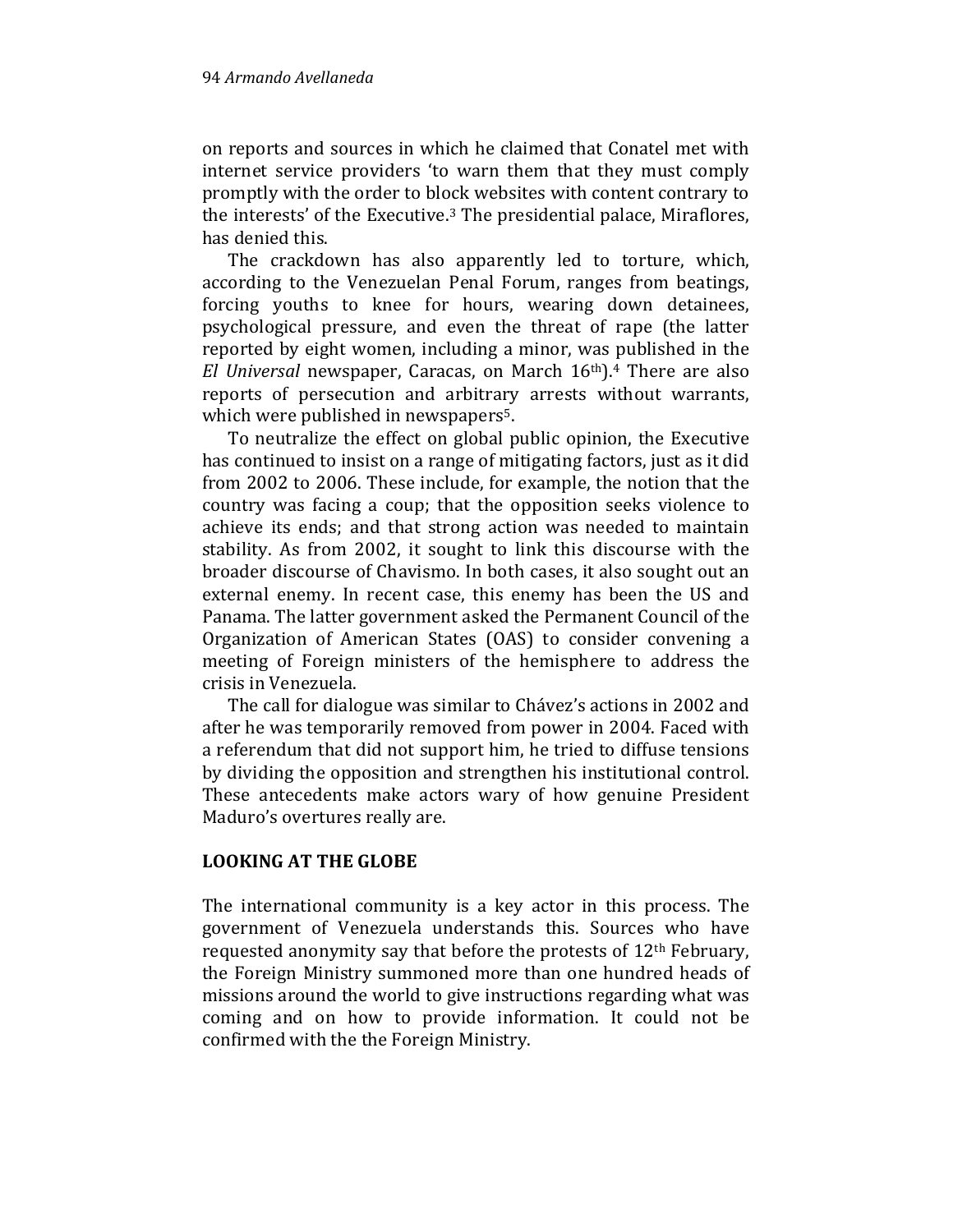on reports and sources in which he claimed that Conatel met with internet service providers 'to warn them that they must comply promptly with the order to block websites with content contrary to the interests' of the Executive.3 The presidential palace, Miraflores, has denied this.

The crackdown has also apparently led to torture, which, according to the Venezuelan Penal Forum, ranges from beatings, forcing youths to knee for hours, wearing down detainees, psychological pressure, and even the threat of rape (the latter reported by eight women, including a minor, was published in the El Universal newspaper, Caracas, on March  $16<sup>th</sup>$ ).<sup>4</sup> There are also reports of persecution and arbitrary arrests without warrants, which were published in newspapers<sup>5</sup>.

To neutralize the effect on global public opinion, the Executive has continued to insist on a range of mitigating factors, just as it did from 2002 to 2006. These include, for example, the notion that the country was facing a coup; that the opposition seeks violence to achieve its ends; and that strong action was needed to maintain stability. As from 2002, it sought to link this discourse with the broader discourse of Chavismo. In both cases, it also sought out an external enemy. In recent case, this enemy has been the US and Panama. The latter government asked the Permanent Council of the Organization of American States (OAS) to consider convening a meeting of Foreign ministers of the hemisphere to address the crisis in Venezuela.

The call for dialogue was similar to Chávez's actions in 2002 and after he was temporarily removed from power in 2004. Faced with a referendum that did not support him, he tried to diffuse tensions by dividing the opposition and strengthen his institutional control. These antecedents make actors wary of how genuine President Maduro's overtures really are.

## LOOKING AT THE GLOBE

The international community is a key actor in this process. The government of Venezuela understands this. Sources who have requested anonymity say that before the protests of 12th February, the Foreign Ministry summoned more than one hundred heads of missions around the world to give instructions regarding what was coming and on how to provide information. It could not be confirmed with the the Foreign Ministry.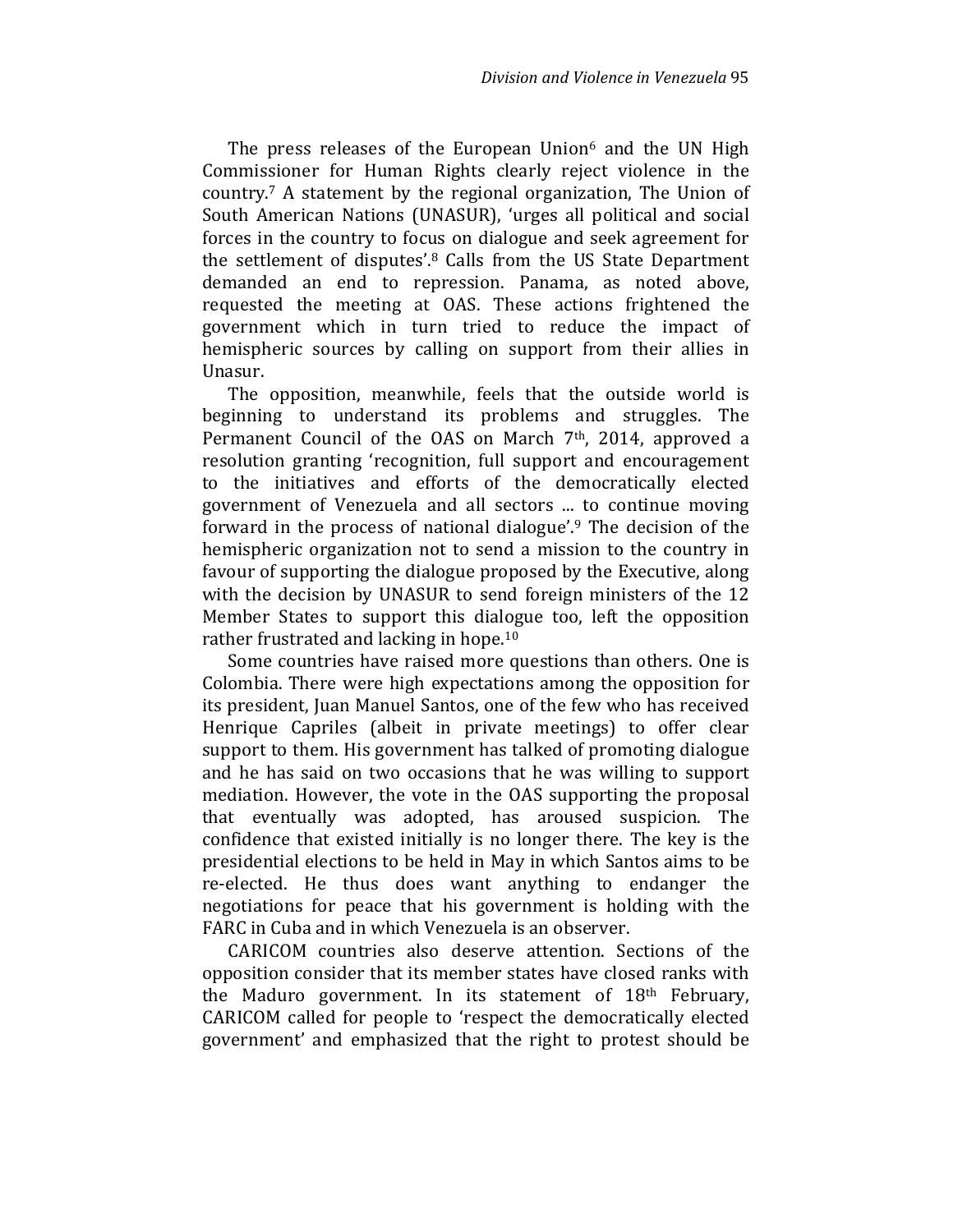The press releases of the European Union<sup> $6$ </sup> and the UN High Commissioner for Human Rights clearly reject violence in the country.7 A statement by the regional organization, The Union of South American Nations (UNASUR), 'urges all political and social forces in the country to focus on dialogue and seek agreement for the settlement of disputes'.8 Calls from the US State Department demanded an end to repression. Panama, as noted above, requested the meeting at OAS. These actions frightened the government which in turn tried to reduce the impact of hemispheric sources by calling on support from their allies in Unasur.

The opposition, meanwhile, feels that the outside world is beginning to understand its problems and struggles. The Permanent Council of the OAS on March 7<sup>th</sup>, 2014, approved a resolution granting 'recognition, full support and encouragement to the initiatives and efforts of the democratically elected government of Venezuela and all sectors ... to continue moving forward in the process of national dialogue'.9 The decision of the hemispheric organization not to send a mission to the country in favour of supporting the dialogue proposed by the Executive, along with the decision by UNASUR to send foreign ministers of the 12 Member States to support this dialogue too, left the opposition rather frustrated and lacking in hope.<sup>10</sup>

Some countries have raised more questions than others. One is Colombia. There were high expectations among the opposition for its president, Juan Manuel Santos, one of the few who has received Henrique Capriles (albeit in private meetings) to offer clear support to them. His government has talked of promoting dialogue and he has said on two occasions that he was willing to support mediation. However, the vote in the OAS supporting the proposal that eventually was adopted, has aroused suspicion. The confidence that existed initially is no longer there. The key is the presidential elections to be held in May in which Santos aims to be re-elected. He thus does want anything to endanger the negotiations for peace that his government is holding with the FARC in Cuba and in which Venezuela is an observer.

CARICOM countries also deserve attention. Sections of the opposition consider that its member states have closed ranks with the Maduro government. In its statement of  $18<sup>th</sup>$  February, CARICOM called for people to 'respect the democratically elected government' and emphasized that the right to protest should be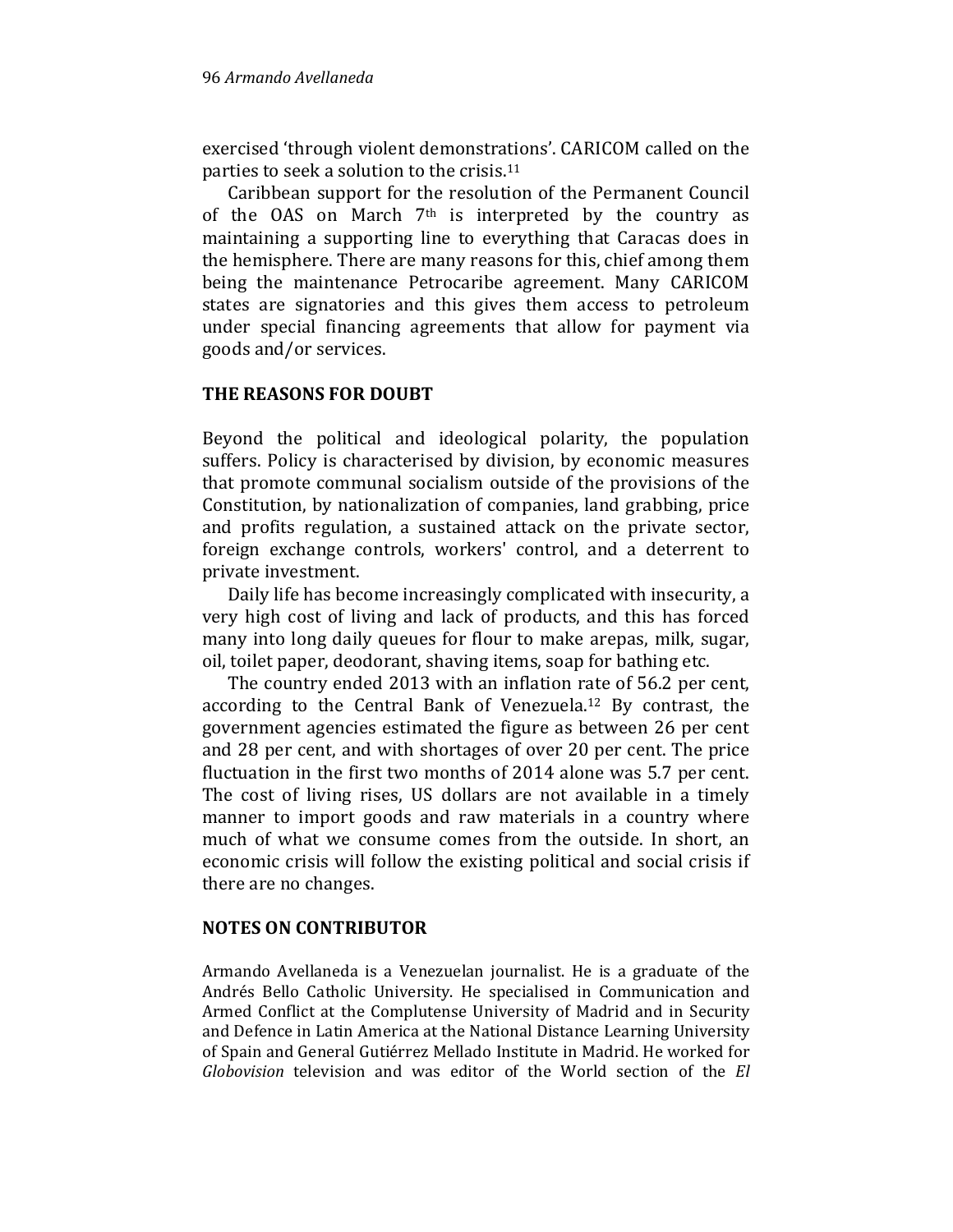exercised 'through violent demonstrations'. CARICOM called on the parties to seek a solution to the crisis.<sup>11</sup>

Caribbean support for the resolution of the Permanent Council of the OAS on March  $7<sup>th</sup>$  is interpreted by the country as maintaining a supporting line to everything that Caracas does in the hemisphere. There are many reasons for this, chief among them being the maintenance Petrocaribe agreement. Many CARICOM states are signatories and this gives them access to petroleum under special financing agreements that allow for payment via goods and/or services.

# THE REASONS FOR DOUBT

Beyond the political and ideological polarity, the population suffers. Policy is characterised by division, by economic measures that promote communal socialism outside of the provisions of the Constitution, by nationalization of companies, land grabbing, price and profits regulation, a sustained attack on the private sector, foreign exchange controls, workers' control, and a deterrent to private investment.

Daily life has become increasingly complicated with insecurity, a very high cost of living and lack of products, and this has forced many into long daily queues for flour to make arepas, milk, sugar, oil, toilet paper, deodorant, shaving items, soap for bathing etc.

The country ended 2013 with an inflation rate of 56.2 per cent, according to the Central Bank of Venezuela.12 By contrast, the government agencies estimated the figure as between 26 per cent and 28 per cent, and with shortages of over 20 per cent. The price fluctuation in the first two months of 2014 alone was 5.7 per cent. The cost of living rises, US dollars are not available in a timely manner to import goods and raw materials in a country where much of what we consume comes from the outside. In short, an economic crisis will follow the existing political and social crisis if there are no changes.

## NOTES ON CONTRIBUTOR

Armando Avellaneda is a Venezuelan journalist. He is a graduate of the Andrés Bello Catholic University. He specialised in Communication and Armed Conflict at the Complutense University of Madrid and in Security and Defence in Latin America at the National Distance Learning University of Spain and General Gutiérrez Mellado Institute in Madrid. He worked for Globovision television and was editor of the World section of the El